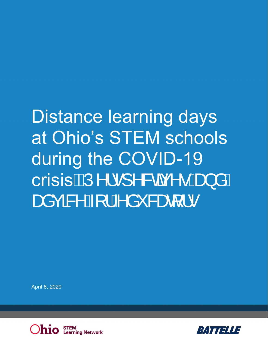# Distance learning days at Ohio's STEM schools during the COVID-19 crisiskÚ^¦·]^&car^· And åÁ BERGEN AV 1 A å " Sær 1.

April 8, 2020



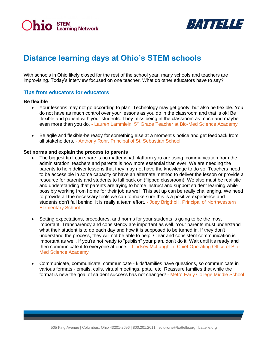



# **Distance learning days at Ohio's STEM schools**

With schools in Ohio likely closed for the rest of the school year, many schools and teachers are improvising. Today's interview focused on one teacher. What do other educators have to say?

#### **Tips from educators for educators**

#### **Be flexible**

- Your lessons may not go according to plan. Technology may get goofy, but also be flexible. You do not have as much control over your lessons as you do in the classroom and that is ok! Be flexible and patient with your students. They miss being in the classroom as much and maybe even more than you do. - Lauren Lammlein, 5<sup>th</sup> Grade Teacher at Bio-Med Science Academy
- Be agile and flexible-be ready for something else at a moment's notice and get feedback from all stakeholders. - Anthony Rohr, Principal of St. Sebastian School

#### **Set norms and explain the process to parents**

- The biggest tip I can share is no matter what platform you are using, communication from the administration, teachers and parents is now more essential than ever. We are needing the parents to help deliver lessons that they may not have the knowledge to do so. Teachers need to be accessible in some capacity or have an alternate method to deliver the lesson or provide a resource for parents and students to fall back on (flipped classroom). We also must be realistic and understanding that parents are trying to home instruct and support student learning while possibly working from home for their job as well. This set up can be really challenging. We need to provide all the necessary tools we can to make sure this is a positive experience and students don't fall behind. It is really a team effort. - Joey Brigthbill, Principal of Northwestern Elementary School
- Setting expectations, procedures, and norms for your students is going to be the most important. Transparency and consistency are important as well. Your parents must understand what their student is to do each day and how it is supposed to be turned in. If they don't understand the process, they will not be able to help. Clear and consistent communication is important as well. If you're not ready to "publish" your plan, don't do it. Wait until it's ready and then communicate it to everyone at once. - Lindsey McLaughlin, Chief Operating Office of Bio-Med Science Academy
- Communicate, communicate, communicate kids/families have questions, so communicate in various formats - emails, calls, virtual meetings, ppts., etc. Reassure families that while the format is new the goal of student success has not changed! - Metro Early College Middle School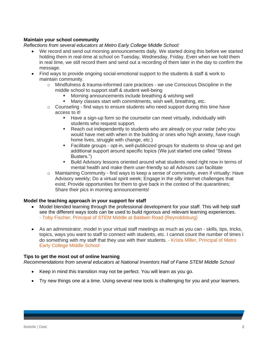# **Maintain your school community**

#### *Reflections from several educators at Metro Early College Middle School:*

- We record and send out morning announcements daily. We started doing this before we started holding them in real-time at school on Tuesday, Wednesday, Friday. Even when we hold them in real time, we still record them and send out a recording of them later in the day to confirm the message.
- Find ways to provide ongoing social-emotional support to the students & staff & work to maintain community.
	- $\circ$  Mindfulness & trauma-informed care practices we use Conscious Discipline in the middle school to support staff & student well-being
		- Morning announcements include breathing & wishing well
		- Many classes start with commitments, wish well, breathing, etc.
	- $\circ$  Counseling find ways to ensure students who need support during this time have access to it!
		- **EXT** Have a sign-up form so the counselor can meet virtually, individually with students who request support.
		- **EXECO ADDED** Reach out independently to students who are already on your radar (who you would have met with when in the building or ones who high anxiety, have rough home lives, struggle with change, etc.)
		- Facilitate groups opt-in, well-publicized groups for students to show up and get additional support around specific topics (We just started one called "Stress Busters.")
		- Build Advisory lessons oriented around what students need right now in terms of mental health and make them user-friendly so all Advisors can facilitate
	- $\circ$  Maintaining Community find ways to keep a sense of community, even if virtually: Have Advisory weekly; Do a virtual spirit week; Engage in the silly internet challenges that exist; Provide opportunities for them to give back in the context of the quarantines; Share their pics in morning announcements!

#### **Model the teaching approach in your support for staff**

- Model blended learning through the professional development for your staff. This will help staff see the different ways tools can be used to build rigorous and relevant learning experiences. - Toby Fischer, Principal of STEM Middle at Baldwin Road (Reynoldsburg)
- As an administrator, model in your virtual staff meetings as much as you can skills, tips, tricks, topics, ways you want to staff to connect with students, etc. I cannot count the number of times I do something with my staff that they use with their students. - Krista Miller, Principal of Metro Early College Middle School

#### **Tips to get the most out of online learning**

*Recommendations from several educators at National Inventors Hall of Fame STEM Middle School*

- Keep in mind this transition may not be perfect. You will learn as you go.
- Try new things one at a time. Using several new tools is challenging for you and your learners.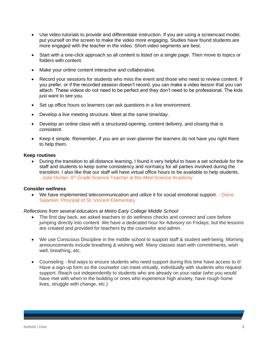- Use video tutorials to provide and differentiate instruction. If you are using a screencast model, put yourself on the screen to make the video more engaging. Studies have found students are more engaged with the teacher in the video. Short video segments are best.
- Start with a one-click approach so all content is listed on a single page. Then move to topics or folders with content.
- Make your online content interactive and collaborative.
- Record your sessions for students who miss the event and those who need to review content. If you prefer, or if the recorded session doesn't record, you can make a video lesson that you can attach. These videos do not need to be perfect and they don't need to be professional. The kids just want to see you.
- Set up office hours so learners can ask questions in a live environment.
- Develop a live meeting structure. Meet at the same time/day.
- Develop an online class with a structured-opening, content delivery, and closing that is consistent.
- Keep it simple. Remember, if you are an over-planner the learners do not have you right there to help them.

#### **Keep routines**

• During the transition to all distance learning, I found it very helpful to have a set schedule for the staff and students to keep some consistency and normalcy for all parties involved during the transition. I also like that our staff will have virtual office hours to be available to help students. - Julie Hunter, 6<sup>th</sup> Grade Science Teacher at Bio-Med Science Academy

#### **Consider wellness**

• We have implemented telecommunication and utilize it for social emotional support. - Diane Salamon, Principal of St. Vincent Elementary

#### *Reflections from several educators at Metro Early College Middle School*

- The first day back, we asked teachers to do wellness checks and connect and care before jumping directly into content. We have a dedicated hour for Advisory on Fridays, but the lessons are created and provided for teachers by the counselor and admin.
- We use Conscious Discipline in the middle school to support staff & student well-being. Morning announcements include breathing & wishing well. Many classes start with commitments, wish well, breathing, etc.
- Counseling find ways to ensure students who need support during this time have access to it! Have a sign-up form so the counselor can meet virtually, individually with students who request support. Reach out independently to students who are already on your radar (who you would have met with when in the building or ones who experience high anxiety, have rough home lives, struggle with change, etc.)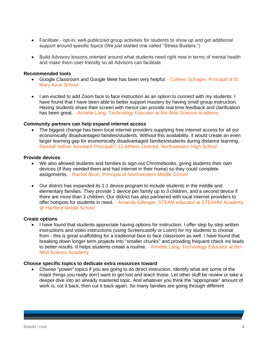- Facilitate opt-in, well-publicized group activities for students to show up and get additional support around specific topics (We just started one called "Stress Busters.")
- Build Advisory lessons oriented around what students need right now in terms of mental health and make them user-friendly so all Advisors can facilitate

#### **Recommended tools**

- Google Classroom and Google Meet has been very helpful. Colleen Schager, Principal of St. Mary Avon School
- I am excited to add Zoom face to face instruction as an option to connect with my students. I have found that I have been able to better support mastery by having small group instruction. Having students share their screen with mesol can provide real time feedback and clarification has been great. - Annette Lang, Technology Educator at Bio-Med Science Academy

#### **Community partners can help expand internet access**

The biggest change has been local internet providers supplying free internet access for all our economically disadvantaged families/students. Without this availability, it would create an even larger learning gap for economically disadvantaged families/students during distance learning. - Randall Hafner Assistant Principal/7-12 Athletic Director, Northwestern High School

#### **Provide devices**

- We also allowed students and families to sign-out Chromebooks, giving students their own devices (if they needed them and had internet in their home) so they could complete assignments. - Rachel Beun, Principal of Northwestern Middle School
- Our district has expanded its 1:1 device program to include students in the middle and elementary families. They provide 1 device per family up to 3 children, and a second device if there are more than 3 children. Our district has also partnered with local internet providers to offer hotspots for students in need. - Amanda Gillespie, STEAM educator at STEAMM Academy @ Hartford Middle School

# **Create options**

• I have found that students appreciate having options for instruction. I offer step by step written instructions and video instructions (using Screencastify or Loom) for my students to choose from - this is great scaffolding for a traditional face to face classroom as well. I have found that breaking down longer term projects into "smaller chunks" and providing frequent check ins leads to better results. It helps students create a routine. - Annette Lang, Technology Educator at Bio-Med Science Academy

#### **Choose specific topics to dedicate extra resources toward**

• Choose "power" topics if you are going to do direct instruction. Identify what are some of the major things you really don't want to get lost and teach those. Let other stuff be review or take a deeper dive into an already mastered topic. And whatever you think the "appropriate" amount of work is, cut it back, then cut it back again. So many families are going through different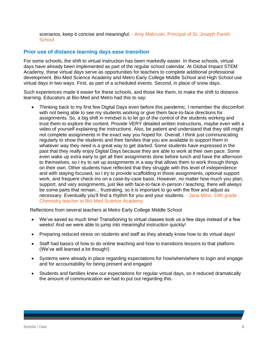scenarios, keep it concise and meaningful. - Amy Makruski, Principal of St. Joseph Parish **School** 

# **Prior use of distance learning days ease transition**

For some schools, the shift to virtual instruction has been markedly easier. In these schools, virtual days have already been implemented as part of the regular school calendar. At Global Impact STEM Academy, these virtual days serve as opportunities for teachers to complete additional professional development. Bio-Med Science Academy and Metro Early College Middle School and High School use virtual days in two ways. First, as part of a scheduled events. Second, in place of snow days.

Such experiences made it easier for these schools, and those like them, to make the shift to distance learning. Educators at Bio-Med and Metro had this to say:

• Thinking back to my first few Digital Days even before this pandemic, I remember the discomfort with not being able to see my students working or give them face-to-face directions for assignments. So, a big shift in mindset is to let go of the control of the students working and trust them to explore the content. Provide VERY detailed written instructions, maybe even with a video of yourself explaining the instructions. Also, be patient and understand that they still might not complete assignments in the exact way you hoped for. Overall, I think just communicating regularly to show the students and their families that you are available to support them in whatever way they need is a great way to get started. Some students have expressed in the past that they really enjoy Digital Days because they are able to work at their own pace. Some even wake up extra early to get all their assignments done before lunch and have the afternoon to themselves, so I try to set up assignments in a way that allows them to work through things on their own. Other students have reflected that they struggle with this level of independence and with staying focused, so I try to provide scaffolding in those assignments, optional support work, and frequent check-ins on a case-by-case basis. However, no matter how much you plan, support, and vary assignments, just like with face-to-face in-person / teaching, there will always be some parts that remain... frustrating, so it is important to go with the flow and adjust as necessary. Eventually you'll find a rhythm for you and your students. - Jana Mino, 10th grade Chemistry teacher at Bio-Med Science Academy

Reflections from several teachers at Metro Early College Middle School

- We've saved so much time! Transitioning to virtual classes took us a few days instead of a few weeks! And we were able to jump into meaningful instruction quickly!
- Preparing reduced stress on students and staff as they already know how to do virtual days!
- Staff had basics of how to do online teaching and how to transitions lessons to that platform. (We've still learned a lot though!)
- Systems were already in place regarding expectations for how/when/where to login and engage and for accountability for being present and engaged
- Students and families knew our expectations for regular virtual days, so it reduced dramatically the amount of communication we had to put out regarding this.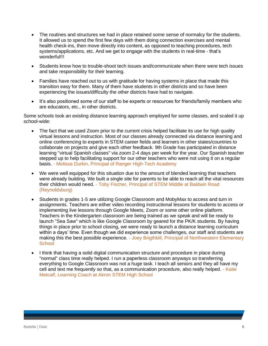- The routines and structures we had in place retained some sense of normalcy for the students. It allowed us to spend the first few days with them doing connection exercises and mental health check-ins, then move directly into content, as opposed to teaching procedures, tech systems/applications, etc. And we get to engage with the students in real-time - that's wonderful!!!
- Students know how to trouble-shoot tech issues and/communicate when there were tech issues and take responsibility for their learning.
- Families have reached out to us with gratitude for having systems in place that made this transition easy for them. Many of them have students in other districts and so have been experiencing the issues/difficulty the other districts have had to navigate.
- It's also positioned some of our staff to be experts or resources for friends/family members who are educators, etc., in other districts.

Some schools took an existing distance learning approach employed for some classes, and scaled it up school-wide:

- The fact that we used Zoom prior to the current crisis helped facilitate its use for high quality virtual lessons and instruction. Most of our classes already connected via distance learning and online conferencing to experts in STEM career fields and learners in other states/countries to collaborate on projects and give each other feedback. 9th Grade has participated in distance learning "virtual Spanish classes" via zoom 2-4 days per week for the year. Our Spanish teacher stepped up to help facilitating support for our other teachers who were not using it on a regular basis. - Melissa Durkin, Principal of Ranger High-Tech Academy
- We were well equipped for this situation due to the amount of blended learning that teachers were already building. We built a single site for parents to be able to reach all the vital resources their children would need. - Toby Fischer, Principal of STEM Middle at Baldwin Road (Reynoldsburg)
- Students in grades 1-5 are utilizing Google Classroom and MobyMax to access and turn in assignments. Teachers are either video recording instructional lessons for students to access or implementing live lessons through Google Meets, Zoom or some other online platform. Teachers in the Kindergarten classroom are being trained as we speak and will be ready to launch "Sea Saw" which is like Google Classroom by geared for the PK/K students. By having things in place prior to school closing, we were ready to launch a distance learning curriculum within a days' time. Even though we did experience some challenges, our staff and students are making this the best possible experience. - Joey Brigthbill, Principal of Northwestern Elementary **School**
- I think that having a solid digital communication structure and procedure in place during "normal" class time really helped. I run a paperless classroom anyways so transferring everything to Google Classroom was not a huge task. I teach all seniors and they all have my cell and text me frequently so that, as a communication procedure, also really helped. - Katie Metcalf, Learning Coach at Akron STEM High School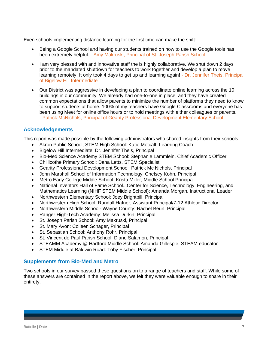Even schools implementing distance learning for the first time can make the shift:

- Being a Google School and having our students trained on how to use the Google tools has been extremely helpful. - Amy Makruski, Principal of St. Joseph Parish School
- I am very blessed with and innovative staff the is highly collaborative. We shut down 2 days prior to the mandated shutdown for teachers to work together and develop a plan to move learning remotely. It only took 4 days to get up and learning again! - Dr. Jennifer Theis, Principal of Bigelow Hill Intermediate
- Our District was aggressive in developing a plan to coordinate online learning across the 10 buildings in our community. We already had one-to-one in place, and they have created common expectations that allow parents to minimize the number of platforms they need to know to support students at home. 100% of my teachers have Google Classrooms and everyone has been using Meet for online office hours or to hold meetings with either colleagues or parents. - Patrick McNichols, Principal of Gearity Professional Development Elementary School

# **Acknowledgements**

This report was made possible by the following administrators who shared insights from their schools:

- Akron Public School, STEM High School: Katie Metcalf, Learning Coach
- Bigelow Hill Intermediate: Dr. Jennifer Theis, Principal
- Bio-Med Science Academy STEM School: Stephanie Lammlein, Chief Academic Officer
- Chillicothe Primary School: Dana Letts, STEM Specialist
- Gearity Professional Development School: Patrick Mc Nichols, Principal
- John Marshall School of Information Technology: Chelsey Kohn, Principal
- Metro Early College Middle School: Krista Miller, Middle School Principal
- National Inventors Hall of Fame School...Center for Science, Technology, Engineering, and Mathematics Learning (NIHF STEM Middle School): Amanda Morgan, Instructional Leader
- Northwestern Elementary School: Joey Brightbill, Principal
- Northwestern High School: Randall Hafner, Assistant Principal/7-12 Athletic Director
- Northwestern Middle School- Wayne County: Rachel Beun, Principal
- Ranger High-Tech Academy: Melissa Durkin, Principal
- St. Joseph Parish School: Amy Makruski, Principal
- St. Mary Avon: Colleen Schager, Principal
- St. Sebastian School: Anthony Rohr, Principal
- St. Vincent de Paul Parish School: Diane Salamon, Principal
- STEAMM Academy @ Hartford Middle School: Amanda Gillespie, STEAM educator
- STEM Middle at Baldwin Road: Toby Fischer, Principal

# **Supplements from Bio-Med and Metro**

Two schools in our survey passed these questions on to a range of teachers and staff. While some of these answers are contained in the report above, we felt they were valuable enough to share in their entirety.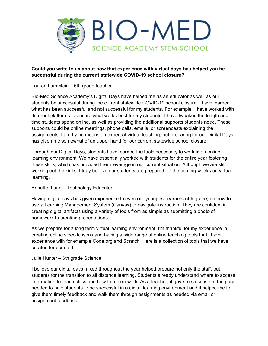

# **Could you write to us about how that experience with virtual days has helped you be successful during the current statewide COVID-19 school closure?**

Lauren Lammlein – 5th grade teacher

Bio-Med Science Academy's Digital Days have helped me as an educator as well as our students be successful during the current statewide COVID-19 school closure. I have learned what has been successful and not successful for my students. For example, I have worked with different platforms to ensure what works best for my students, I have tweaked the length and time students spend online, as well as providing the additional supports students need. These supports could be online meetings, phone calls, emails, or screencasts explaining the assignments. I am by no means an expert at virtual teaching, but preparing for our Digital Days has given me somewhat of an upper hand for our current statewide school closure.

Through our Digital Days, students have learned the tools necessary to work in an online learning environment. We have essentially worked with students for the entire year fostering these skills, which has provided them leverage in our current situation. Although we are still working out the kinks, I truly believe our students are prepared for the coming weeks on virtual learning.

# Annettte Lang – Technology Educator

Having digital days has given experience to even our youngest learners (4th grade) on how to use a Learning Management System (Canvas) to navigate instruction. They are confident in creating digital artifacts using a variety of tools from as simple as submitting a photo of homework to creating presentations.

As we prepare for a long term virtual learning environment, I'm thankful for my experience in creating online video lessons and having a wide range of online teaching tools that I have experience with for example Code.org and Scratch. Here is a collection of tools that we have curated for our staff.

# Julie Hunter – 6th grade Science

I believe our digital days mixed throughout the year helped prepare not only the staff, but students for the transition to all distance learning. Students already understand where to access information for each class and how to turn in work. As a teacher, it gave me a sense of the pace needed to help students to be successful in a digital learning environment and it helped me to give them timely feedback and walk them through assignments as needed via email or assignment feedback.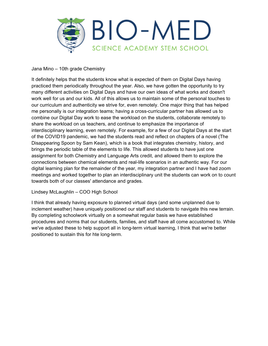

Jana Mino – 10th grade Chemistry

It definitely helps that the students know what is expected of them on Digital Days having practiced them periodically throughout the year. Also, we have gotten the opportunity to try many different activities on Digital Days and have our own ideas of what works and doesn't work well for us and our kids. All of this allows us to maintain some of the personal touches to our curriculum and authenticity we strive for, even remotely. One major thing that has helped me personally is our integration teams; having a cross-curricular partner has allowed us to combine our Digital Day work to ease the workload on the students, collaborate remotely to share the workload on us teachers, and continue to emphasize the importance of interdisciplinary learning, even remotely. For example, for a few of our Digital Days at the start of the COVID19 pandemic, we had the students read and reflect on chapters of a novel (The Disappearing Spoon by Sam Kean), which is a book that integrates chemistry, history, and brings the periodic table of the elements to life. This allowed students to have just one assignment for both Chemistry and Language Arts credit, and allowed them to explore the connections between chemical elements and real-life scenarios in an authentic way. For our digital learning plan for the remainder of the year, my integration partner and I have had zoom meetings and worked together to plan an interdisciplinary unit the students can work on to count towards both of our classes' attendance and grades.

Lindsey McLaughlin – COO High School

I think that already having exposure to planned virtual days (and some unplanned due to inclement weather) have uniquely positioned our staff and students to navigate this new terrain. By completing schoolwork virtually on a somewhat regular basis we have established procedures and norms that our students, families, and staff have all come accustomed to. While we've adjusted these to help support all in long-term virtual learning, I think that we're better positioned to sustain this for hte long-term.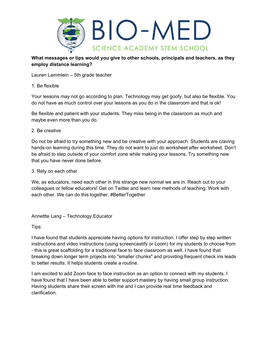

**What messages or tips would you give to other schools, principals and teachers, as they employ distance learning?** 

Lauren Lammlein – 5th grade teacher

# 1. Be flexible

Your lessons may not go according to plan. Technology may get goofy, but also be flexible. You do not have as much control over your lessons as you do in the classroom and that is ok!

Be flexible and patient with your students. They miss being in the classroom as much and maybe even more than you do.

# 2. Be creative

Do not be afraid to try something new and be creative with your approach. Students are craving hands-on learning during this time. They do not want to just do worksheet after worksheet. Don't be afraid to step outside of your comfort zone while making your lessons. Try something new that you have never done before.

3. Rely on each other

We, as educators, need each other in this strange new normal we are in. Reach out to your colleagues or fellow educators! Get on Twitter and learn new methods of teaching. Work with each other. We can do this together. #BetterTogether

Annettte Lang – Technology Educator

Tips:

I have found that students appreciate having options for instruction. I offer step by step written instructions and video instructions (using screencastify or Loom) for my students to choose from - this is great scaffolding for a traditional face to face classroom as well. I have found that breaking down longer term projects into "smaller chunks" and providing frequent check ins leads to better results. It helps students create a routine.

I am excited to add Zoom face to face instruction as an option to connect with my students. I have found that I have been able to better support mastery by having small group instruction. Having students share their screen with me and I can provide real time feedback and clarification.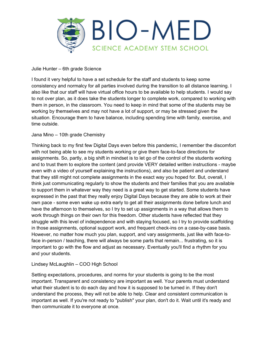

Julie Hunter – 6th grade Science

I found it very helpful to have a set schedule for the staff and students to keep some consistency and normalcy for all parties involved during the transition to all distance learning. I also like that our staff will have virtual office hours to be available to help students. I would say to not over plan, as it does take the students longer to complete work, compared to working with them in person, in the classroom. You need to keep in mind that some of the students may be working by themselves and may not have a lot of support, or may be stressed given the situation. Encourage them to have balance, including spending time with family, exercise, and time outside.

# Jana Mino – 10th grade Chemistry

Thinking back to my first few Digital Days even before this pandemic, I remember the discomfort with not being able to see my students working or give them face-to-face directions for assignments. So, partly, a big shift in mindset is to let go of the control of the students working and to trust them to explore the content (and provide VERY detailed written instructions - maybe even with a video of yourself explaining the instructions), and also be patient and understand that they still might not complete assignments in the exact way you hoped for. But, overall, I think just communicating regularly to show the students and their families that you are available to support them in whatever way they need is a great way to get started. Some students have expressed in the past that they really enjoy Digital Days because they are able to work at their own pace - some even wake up extra early to get all their assignments done before lunch and have the afternoon to themselves, so I try to set up assignments in a way that allows them to work through things on their own for this freedom. Other students have reflected that they struggle with this level of independence and with staying focused, so I try to provide scaffolding in those assignments, optional support work, and frequent check-ins on a case-by-case basis. However, no matter how much you plan, support, and vary assignments, just like with face-toface in-person / teaching, there will always be some parts that remain... frustrating, so it is important to go with the flow and adjust as necessary. Eventually you'll find a rhythm for you and your students.

Lindsey McLaughlin – COO High School

Setting expectations, procedures, and norms for your students is going to be the most important. Transparent and consistency are important as well. Your parents must understand what their student is to do each day and how it is supposed to be turned in. If they don't understand the process, they will not be able to help. Clear and consistent communication is important as well. If you're not ready to "publish" your plan, don't do it. Wait until it's ready and then communicate it to everyone at once.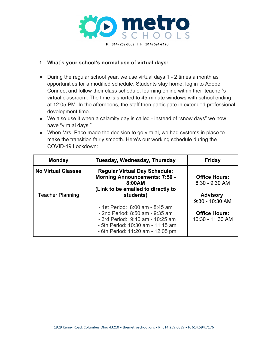

# **1. What's your school's normal use of virtual days:**

- During the regular school year, we use virtual days 1 2 times a month as opportunities for a modified schedule. Students stay home, log in to Adobe Connect and follow their class schedule, learning online within their teacher's virtual classroom. The time is shorted to 45-minute windows with school ending at 12:05 PM. In the afternoons, the staff then participate in extended professional development time.
- We also use it when a calamity day is called instead of "snow days" we now have "virtual days."
- When Mrs. Pace made the decision to go virtual, we had systems in place to make the transition fairly smooth. Here's our working schedule during the COVID-19 Lockdown:

| <b>Monday</b>             | Tuesday, Wednesday, Thursday                                                                                                                                                     | <b>Friday</b>                            |
|---------------------------|----------------------------------------------------------------------------------------------------------------------------------------------------------------------------------|------------------------------------------|
| <b>No Virtual Classes</b> | <b>Regular Virtual Day Schedule:</b><br><b>Morning Announcements: 7:50 -</b><br>8:00AM<br>(Link to be emailed to directly to                                                     | <b>Office Hours:</b><br>$8:30 - 9:30$ AM |
| <b>Teacher Planning</b>   | students)                                                                                                                                                                        | <b>Advisory:</b><br>$9:30 - 10:30$ AM    |
|                           | - 1st Period: 8:00 am - 8:45 am<br>- 2nd Period: 8:50 am - 9:35 am<br>- 3rd Period: 9:40 am - 10:25 am<br>- 5th Period: 10:30 am - 11:15 am<br>- 6th Period: 11:20 am - 12:05 pm | <b>Office Hours:</b><br>10:30 - 11:30 AM |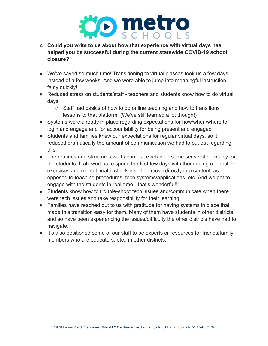

- **2. Could you write to us about how that experience with virtual days has helped you be successful during the current statewide COVID-19 school closure?**
- We've saved so much time! Transitioning to virtual classes took us a few days instead of a few weeks! And we were able to jump into meaningful instruction fairly quickly!
- Reduced stress on students/staff teachers and students know how to do virtual days!
	- Staff had basics of how to do online teaching and how to transitions lessons to that platform. (We've still learned a lot though!)
- Systems were already in place regarding expectations for how/when/where to login and engage and for accountability for being present and engaged
- Students and families knew our expectations for regular virtual days, so it reduced dramatically the amount of communication we had to put out regarding this.
- The routines and structures we had in place retained some sense of normalcy for the students. It allowed us to spend the first few days with them doing connection exercises and mental health check-ins, then move directly into content, as opposed to teaching procedures, tech systems/applications, etc. And we get to engage with the students in real-time - that's wonderful!!!
- Students know how to trouble-shoot tech issues and/communicate when there were tech issues and take responsibility for their learning.
- Families have reached out to us with gratitude for having systems in place that made this transition easy for them. Many of them have students in other districts and so have been experiencing the issues/difficulty the other districts have had to navigate.
- It's also positioned some of our staff to be experts or resources for friends/family members who are educators, etc., in other districts.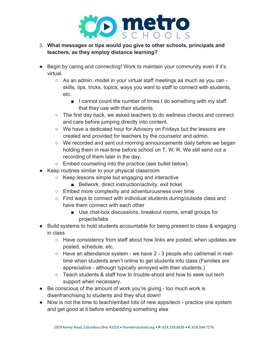

# 3. **What messages or tips would you give to other schools, principals and teachers, as they employ distance learning?**

- Begin by caring and connecting! Work to maintain your community even if it's virtual.
	- As an admin, model in your virtual staff meetings as much as you can skills, tips, tricks, topics, ways you want to staff to connect with students, etc.
		- I cannot count the number of times I do something with my staff that they use with their students.
	- The first day back, we asked teachers to do wellness checks and connect and care before jumping directly into content.
	- We have a dedicated hour for Advisory on Fridays but the lessons are created and provided for teachers by the counselor and admin.
	- We recorded and sent out morning announcements daily before we began holding them in real-time before school on T, W, R. We still send out a recording of them later in the day.
	- Embed counseling into the practice (see bullet below).
- Keep routines similar to your physical classroom
	- Keep lessons simple but engaging and interactive
		- Bellwork, direct instruction/activity, exit ticket
	- Embed more complexity and adventurousness over time
	- Find ways to connect with individual students during/outside class and have them connect with each other
		- Use chat-box discussions, breakout rooms, small groups for projects/labs
- Build systems to hold students accountable for being present to class & engaging in class
	- Have consistency from staff about how links are posted, when updates are posted, schedule, etc.
	- Have an attendance system we have 2 3 people who call/email in realtime when students aren't online to get students into class (Families are appreciative - although typically annoyed with their students.)
	- $\circ$  Teach students & staff how to trouble-shoot and how to seek out tech support when necessary.
- Be conscious of the amount of work you're giving too much work is disenfranchising to students and they shut down!
- Now is not the time to teach/embed lots of new apps/tech practice one system and get good at it before embedding something else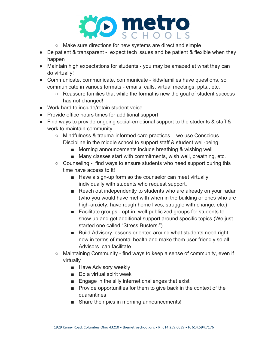

- Make sure directions for new systems are direct and simple
- Be patient & transparent expect tech issues and be patient & flexible when they happen
- Maintain high expectations for students you may be amazed at what they can do virtually!
- Communicate, communicate, communicate kids/families have questions, so communicate in various formats - emails, calls, virtual meetings, ppts., etc.
	- Reassure families that while the format is new the goal of student success has not changed!
- Work hard to include/retain student voice.
- Provide office hours times for additional support
- Find ways to provide ongoing social-emotional support to the students & staff & work to maintain community -
	- Mindfulness & trauma-informed care practices we use Conscious Discipline in the middle school to support staff & student well-being
		- Morning announcements include breathing & wishing well
		- Many classes start with commitments, wish well, breathing, etc.
	- Counseling find ways to ensure students who need support during this time have access to it!
		- Have a sign-up form so the counselor can meet virtually, individually with students who request support.
		- Reach out independently to students who are already on your radar (who you would have met with when in the building or ones who are high-anxiety, have rough home lives, struggle with change, etc.)
		- Facilitate groups opt-in, well-publicized groups for students to show up and get additional support around specific topics (We just started one called "Stress Busters.")
		- Build Advisory lessons oriented around what students need right now in terms of mental health and make them user-friendly so all Advisors can facilitate
	- Maintaining Community find ways to keep a sense of community, even if virtually
		- Have Advisory weekly
		- Do a virtual spirit week
		- Engage in the silly internet challenges that exist
		- Provide opportunities for them to give back in the context of the quarantines
		- Share their pics in morning announcements!